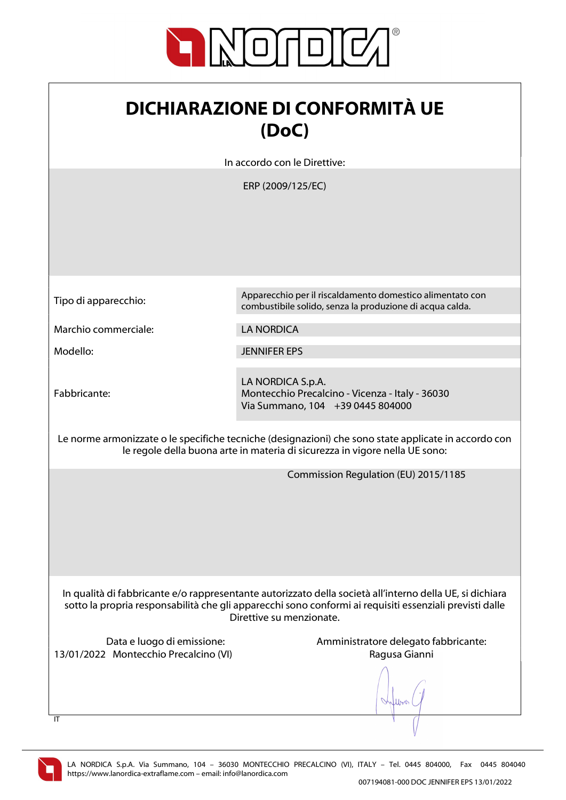

| <b>DICHIARAZIONE DI CONFORMITÀ UE</b> |
|---------------------------------------|
| (DoC)                                 |

In accordo con le Direttive:

ERP (2009/125/EC)

Tipo di apparecchio: Apparecchio per il riscaldamento domestico alimentato con

Marchio commerciale: LA NORDICA

Modello: JENNIFER EPS

Fabbricante:

LA NORDICA S.p.A. Montecchio Precalcino - Vicenza - Italy - 36030 Via Summano, 104 +39 0445 804000

combustibile solido, senza la produzione di acqua calda.

Le norme armonizzate o le specifiche tecniche (designazioni) che sono state applicate in accordo con le regole della buona arte in materia di sicurezza in vigore nella UE sono:

Commission Regulation (EU) 2015/1185

In qualità di fabbricante e/o rappresentante autorizzato della società all'interno della UE, si dichiara sotto la propria responsabilità che gli apparecchi sono conformi ai requisiti essenziali previsti dalle Direttive su menzionate.

13/01/2022 Montecchio Precalcino (VI) Ragusa Gianni

Data e luogo di emissione: Amministratore delegato fabbricante:

When



 $\overline{I}$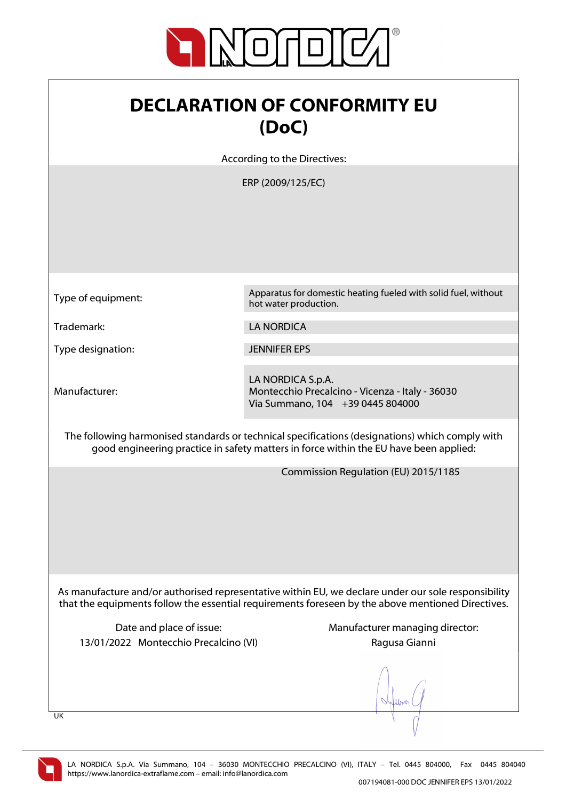

## DECLARATION OF CONFORMITY EU (DoC)

According to the Directives:

ERP (2009/125/EC)

Type of equipment: Apparatus for domestic heating fueled with solid fuel, without hot water production.

Trademark: LA NORDICA

Type designation: JENNIFER EPS

Manufacturer:

LA NORDICA S.p.A. Montecchio Precalcino - Vicenza - Italy - 36030 Via Summano, 104 +39 0445 804000

The following harmonised standards or technical specifications (designations) which comply with good engineering practice in safety matters in force within the EU have been applied:

Commission Regulation (EU) 2015/1185

As manufacture and/or authorised representative within EU, we declare under our sole responsibility that the equipments follow the essential requirements foreseen by the above mentioned Directives.

13/01/2022 Montecchio Precalcino (VI) Ragusa Gianni

Date and place of issue: Manufacturer managing director:

UK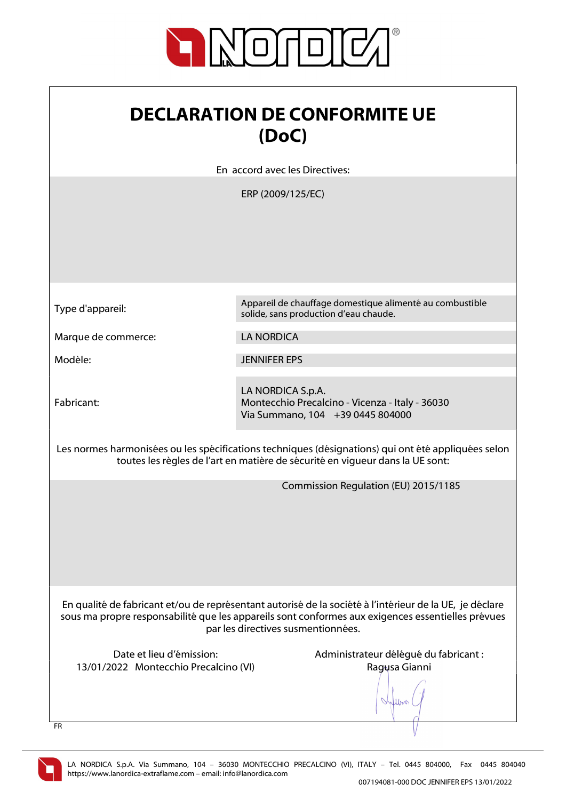

| <b>DECLARATION DE CONFORMITE UE</b><br>(DoC)                                                                                                                                                                                                       |                                                                                                          |
|----------------------------------------------------------------------------------------------------------------------------------------------------------------------------------------------------------------------------------------------------|----------------------------------------------------------------------------------------------------------|
|                                                                                                                                                                                                                                                    | En accord avec les Directives:                                                                           |
|                                                                                                                                                                                                                                                    | ERP (2009/125/EC)                                                                                        |
| Type d'appareil:                                                                                                                                                                                                                                   | Appareil de chauffage domestique alimenté au combustible<br>solide, sans production d'eau chaude.        |
| Marque de commerce:                                                                                                                                                                                                                                | <b>LA NORDICA</b>                                                                                        |
| Modèle:                                                                                                                                                                                                                                            | <b>JENNIFER EPS</b>                                                                                      |
| Fabricant:                                                                                                                                                                                                                                         | LA NORDICA S.p.A.<br>Montecchio Precalcino - Vicenza - Italy - 36030<br>Via Summano, 104 +39 0445 804000 |
| Les normes harmonisées ou les spécifications techniques (désignations) qui ont été appliquées selon<br>toutes les règles de l'art en matière de sécurité en vigueur dans la UE sont:                                                               |                                                                                                          |
|                                                                                                                                                                                                                                                    | Commission Regulation (EU) 2015/1185                                                                     |
| En qualité de fabricant et/ou de représentant autorisé de la société à l'intérieur de la UE, je déclare<br>sous ma propre responsabilité que les appareils sont conformes aux exigences essentielles prévues<br>par les directives susmentionnées. |                                                                                                          |
| Date et lieu d'émission:<br>13/01/2022 Montecchio Precalcino (VI)<br><b>FR</b>                                                                                                                                                                     | Administrateur délégué du fabricant :<br>Ragusa Gianni                                                   |

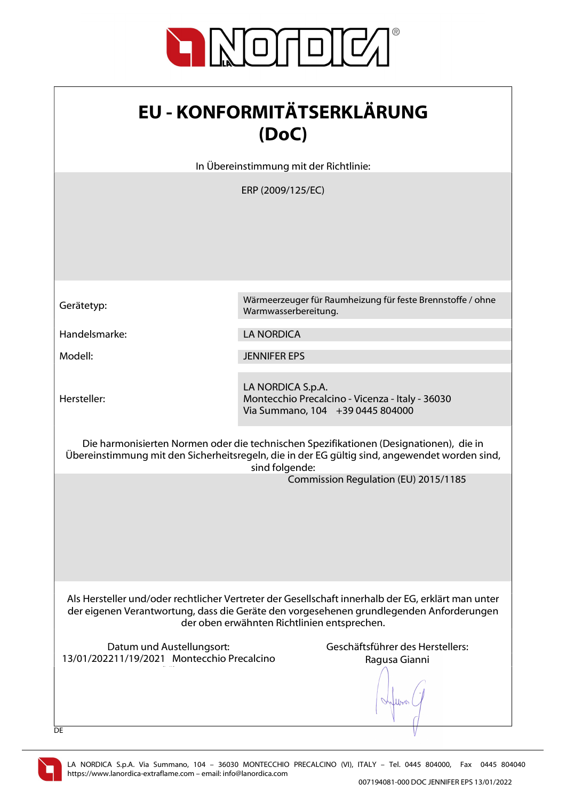

| <b>EU - KONFORMITÄTSERKLÄRUNG</b> |
|-----------------------------------|
| (DoC)                             |

In Übereinstimmung mit der Richtlinie:

ERP (2009/125/EC)

Hersteller:

Gerätetyp: Wärmeerzeuger für Raumheizung für feste Brennstoffe / ohne Warmwasserbereitung.

Handelsmarke: LA NORDICA

Modell: JENNIFER EPS

LA NORDICA S.p.A. Montecchio Precalcino - Vicenza - Italy - 36030 Via Summano, 104 +39 0445 804000

Die harmonisierten Normen oder die technischen Spezifikationen (Designationen), die in Übereinstimmung mit den Sicherheitsregeln, die in der EG gültig sind, angewendet worden sind, sind folgende:

Commission Regulation (EU) 2015/1185

Als Hersteller und/oder rechtlicher Vertreter der Gesellschaft innerhalb der EG, erklärt man unter der eigenen Verantwortung, dass die Geräte den vorgesehenen grundlegenden Anforderungen der oben erwähnten Richtlinien entsprechen.

Datum und Austellungsort: Geschäftsführer des Herstellers: 13/01/202211/19/2021 Montecchio Precalcino  $\mathcal{N}(\mathcal{N})$ 

Ragusa Gianni

lbook.



**DE**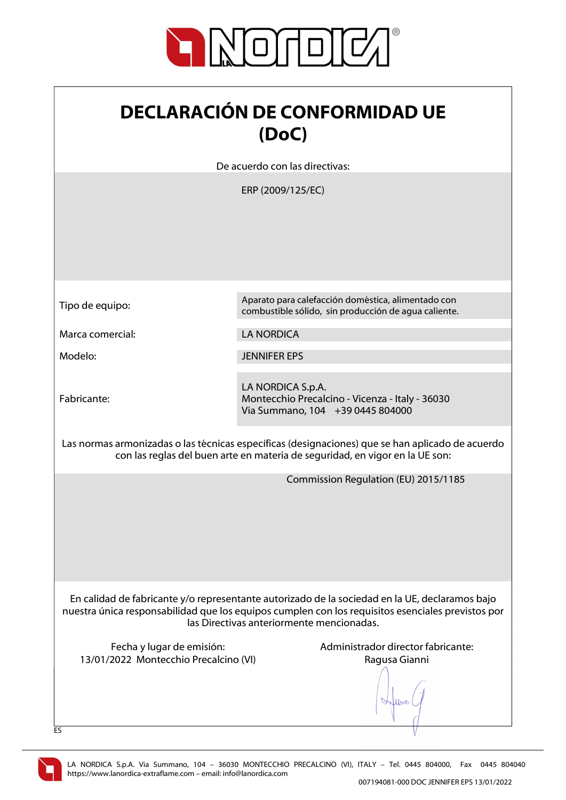

| <b>DECLARACIÓN DE CONFORMIDAD UE</b> |
|--------------------------------------|
| (DoC)                                |

De acuerdo con las directivas:

ERP (2009/125/EC)

|                                                                                                                                                                                  | Aparato para calefacción doméstica, alimentado con                                                                                                                                                                                               |
|----------------------------------------------------------------------------------------------------------------------------------------------------------------------------------|--------------------------------------------------------------------------------------------------------------------------------------------------------------------------------------------------------------------------------------------------|
| Tipo de equipo:                                                                                                                                                                  | combustible sólido, sin producción de agua caliente.                                                                                                                                                                                             |
| Marca comercial:                                                                                                                                                                 | <b>LA NORDICA</b>                                                                                                                                                                                                                                |
| Modelo:                                                                                                                                                                          | <b>JENNIFER EPS</b>                                                                                                                                                                                                                              |
| Fabricante:                                                                                                                                                                      | LA NORDICA S.p.A.<br>Montecchio Precalcino - Vicenza - Italy - 36030<br>Via Summano, 104 +39 0445 804000                                                                                                                                         |
| Las normas armonizadas o las técnicas específicas (designaciones) que se han aplicado de acuerdo<br>con las reglas del buen arte en materia de seguridad, en vigor en la UE son: |                                                                                                                                                                                                                                                  |
|                                                                                                                                                                                  | Commission Regulation (EU) 2015/1185                                                                                                                                                                                                             |
|                                                                                                                                                                                  | En calidad de fabricante y/o representante autorizado de la sociedad en la UE, declaramos bajo<br>nuestra única responsabilidad que los equipos cumplen con los requisitos esenciales previstos por<br>las Directivas anteriormente mencionadas. |
| Fecha y lugar de emisión:<br>13/01/2022 Montecchio Precalcino (VI)                                                                                                               | Administrador director fabricante:<br>Ragusa Gianni                                                                                                                                                                                              |
| ES                                                                                                                                                                               |                                                                                                                                                                                                                                                  |

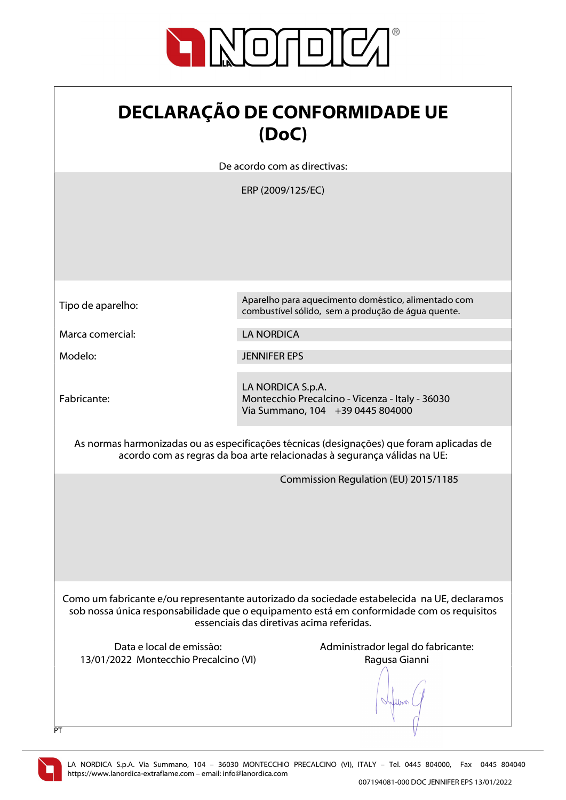

| <b>DECLARAÇÃO DE CONFORMIDADE UE</b> |
|--------------------------------------|
| (DoC)                                |

De acordo com as directivas:

ERP (2009/125/EC)

| Tipo de aparelho:                                                                                                                                                     | Aparelho para aquecimento doméstico, alimentado com                                                                                                                                                                                    |
|-----------------------------------------------------------------------------------------------------------------------------------------------------------------------|----------------------------------------------------------------------------------------------------------------------------------------------------------------------------------------------------------------------------------------|
|                                                                                                                                                                       | combustível sólido, sem a produção de água quente.                                                                                                                                                                                     |
| Marca comercial:                                                                                                                                                      | <b>LA NORDICA</b>                                                                                                                                                                                                                      |
| Modelo:                                                                                                                                                               | <b>JENNIFER EPS</b>                                                                                                                                                                                                                    |
| Fabricante:                                                                                                                                                           | LA NORDICA S.p.A.<br>Montecchio Precalcino - Vicenza - Italy - 36030<br>Via Summano, 104 +39 0445 804000                                                                                                                               |
| As normas harmonizadas ou as especificações técnicas (designações) que foram aplicadas de<br>acordo com as regras da boa arte relacionadas à segurança válidas na UE: |                                                                                                                                                                                                                                        |
|                                                                                                                                                                       | Commission Regulation (EU) 2015/1185                                                                                                                                                                                                   |
|                                                                                                                                                                       | Como um fabricante e/ou representante autorizado da sociedade estabelecida na UE, declaramos<br>sob nossa única responsabilidade que o equipamento está em conformidade com os requisitos<br>essenciais das diretivas acima referidas. |
| Data e local de emissão:<br>13/01/2022 Montecchio Precalcino (VI)<br>PT                                                                                               | Administrador legal do fabricante:<br>Ragusa Gianni                                                                                                                                                                                    |

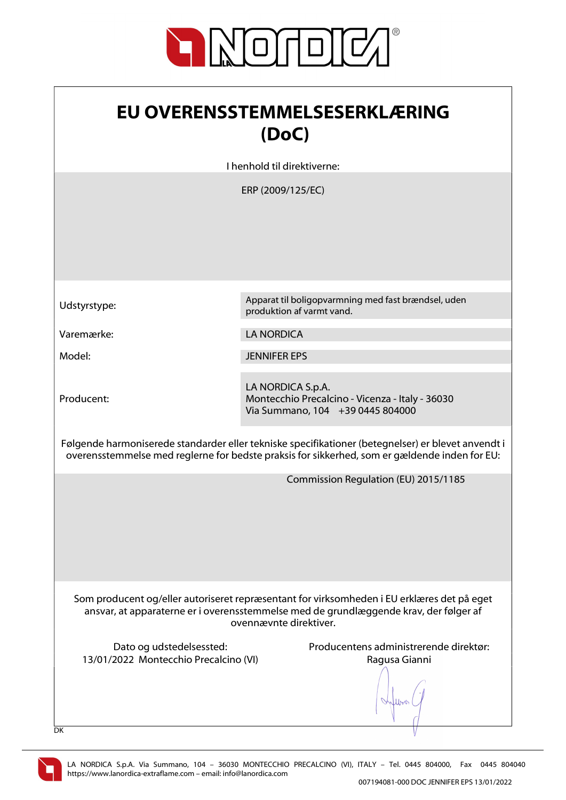

| <b>EU OVERENSSTEMMELSESERKLÆRING</b> |
|--------------------------------------|
| (DoC)                                |

I henhold til direktiverne:

ERP (2009/125/EC)

Producent:

Udstyrstype: Apparat til boligopvarmning med fast brændsel, uden produktion af varmt vand.

Varemærke: LA NORDICA

Model: JENNIFER EPS

LA NORDICA S.p.A. Montecchio Precalcino - Vicenza - Italy - 36030 Via Summano, 104 +39 0445 804000

Følgende harmoniserede standarder eller tekniske specifikationer (betegnelser) er blevet anvendt i overensstemmelse med reglerne for bedste praksis for sikkerhed, som er gældende inden for EU:

Commission Regulation (EU) 2015/1185

Som producent og/eller autoriseret repræsentant for virksomheden i EU erklæres det på eget ansvar, at apparaterne er i overensstemmelse med de grundlæggende krav, der følger af ovennævnte direktiver.

13/01/2022 Montecchio Precalcino (VI) Ragusa Gianni

Dato og udstedelsessted: Producentens administrerende direktør:

 $\ln$ 



DK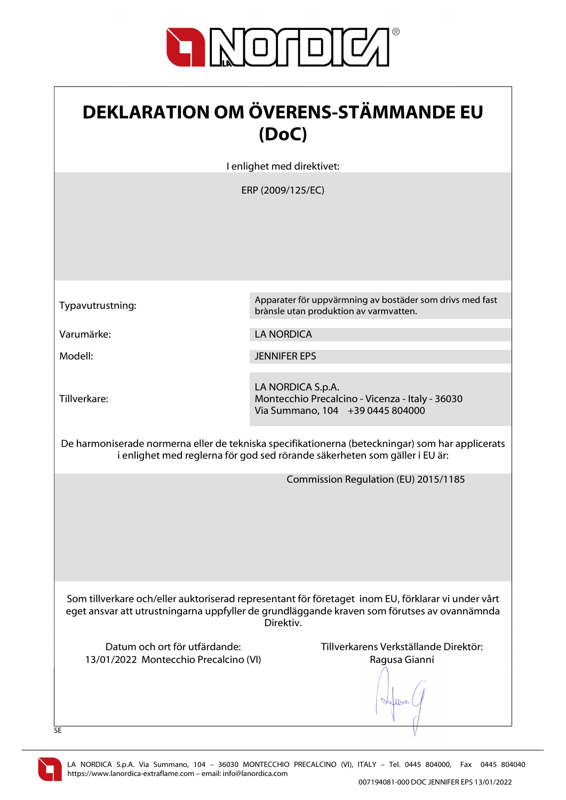

| <b>DEKLARATION OM ÖVERENS-STÄMMANDE EU</b><br>(DoC)                                                                                                                                                            |                                                                                                          |
|----------------------------------------------------------------------------------------------------------------------------------------------------------------------------------------------------------------|----------------------------------------------------------------------------------------------------------|
|                                                                                                                                                                                                                | I enlighet med direktivet:                                                                               |
|                                                                                                                                                                                                                | ERP (2009/125/EC)                                                                                        |
| Typavutrustning:                                                                                                                                                                                               | Apparater för uppvärmning av bostäder som drivs med fast<br>brànsle utan produktion av varmvatten.       |
| Varumärke:                                                                                                                                                                                                     | <b>LA NORDICA</b>                                                                                        |
| Modell:                                                                                                                                                                                                        | <b>JENNIFER EPS</b>                                                                                      |
| Tillverkare:                                                                                                                                                                                                   | LA NORDICA S.p.A.<br>Montecchio Precalcino - Vicenza - Italy - 36030<br>Via Summano, 104 +39 0445 804000 |
| De harmoniserade normerna eller de tekniska specifikationerna (beteckningar) som har applicerats<br>i enlighet med reglerna för god sed rörande säkerheten som gäller i EU är:                                 |                                                                                                          |
|                                                                                                                                                                                                                | Commission Regulation (EU) 2015/1185                                                                     |
| Som tillverkare och/eller auktoriserad representant för företaget inom EU, förklarar vi under vårt<br>eget ansvar att utrustningarna uppfyller de grundläggande kraven som förutses av ovannämnda<br>Direktiv. |                                                                                                          |
| Datum och ort för utfärdande:<br>13/01/2022 Montecchio Precalcino (VI)<br>SE                                                                                                                                   | Tillverkarens Verkställande Direktör:<br>Ragusa Gianni                                                   |

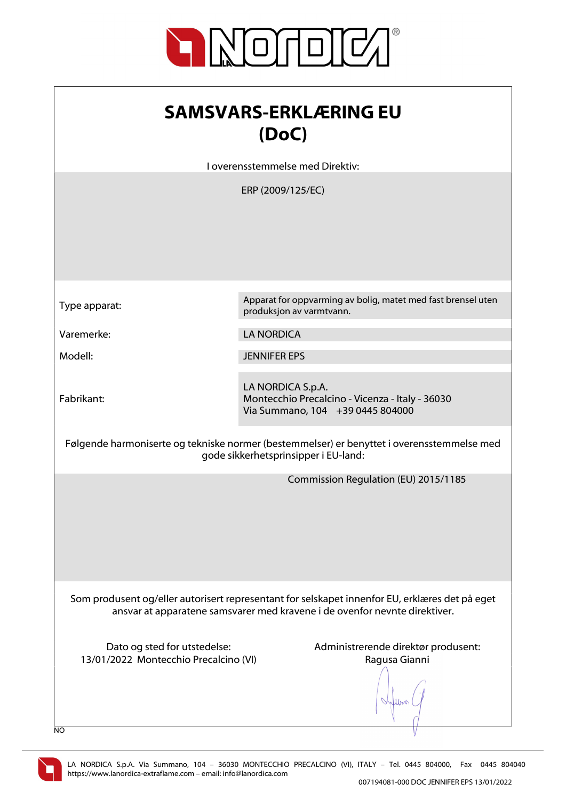

| <b>SAMSVARS-ERKLÆRING EU</b> |
|------------------------------|
| (DoC)                        |

I overensstemmelse med Direktiv:

ERP (2009/125/EC)

| Type apparat: |  |
|---------------|--|
|---------------|--|

Apparat for oppvarming av bolig, matet med fast brensel uten produksjon av varmtvann.

Varemerke: LA NORDICA

Modell: JENNIFER EPS

Fabrikant:

LA NORDICA S.p.A. Montecchio Precalcino - Vicenza - Italy - 36030 Via Summano, 104 +39 0445 804000

Følgende harmoniserte og tekniske normer (bestemmelser) er benyttet i overensstemmelse med gode sikkerhetsprinsipper i EU-land:

Commission Regulation (EU) 2015/1185

Som produsent og/eller autorisert representant for selskapet innenfor EU, erklæres det på eget ansvar at apparatene samsvarer med kravene i de ovenfor nevnte direktiver.

13/01/2022 Montecchio Precalcino (VI) Ragusa Gianni

Dato og sted for utstedelse: Administrerende direktør produsent:

Albert 1

NO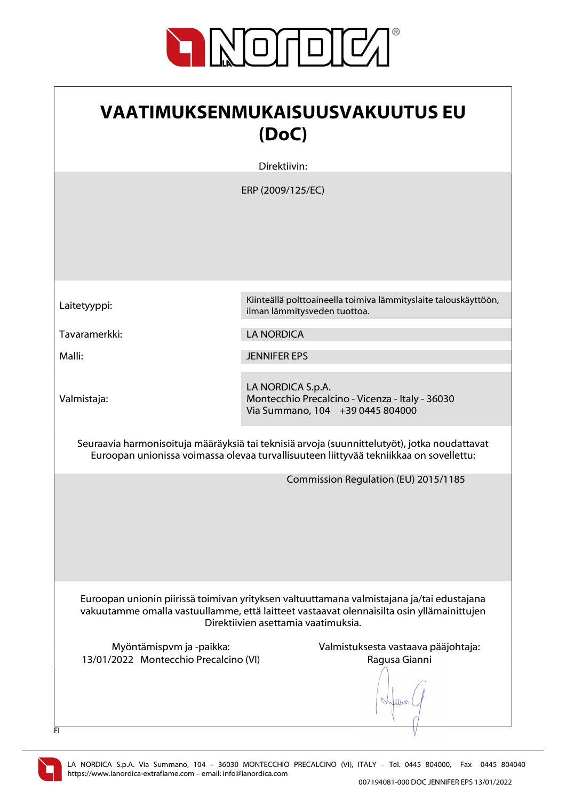

| <b>VAATIMUKSENMUKAISUUSVAKUUTUS EU</b><br>(DoC)                                                                                                                                                                               |                                                                                                          |
|-------------------------------------------------------------------------------------------------------------------------------------------------------------------------------------------------------------------------------|----------------------------------------------------------------------------------------------------------|
|                                                                                                                                                                                                                               | Direktiivin:                                                                                             |
|                                                                                                                                                                                                                               | ERP (2009/125/EC)                                                                                        |
| Laitetyyppi:                                                                                                                                                                                                                  | Kiinteällä polttoaineella toimiva lämmityslaite talouskäyttöön,<br>ilman lämmitysveden tuottoa.          |
| Tavaramerkki:                                                                                                                                                                                                                 | <b>LA NORDICA</b>                                                                                        |
| Malli:                                                                                                                                                                                                                        | <b>JENNIFER EPS</b>                                                                                      |
| Valmistaja:                                                                                                                                                                                                                   | LA NORDICA S.p.A.<br>Montecchio Precalcino - Vicenza - Italy - 36030<br>Via Summano, 104 +39 0445 804000 |
| Seuraavia harmonisoituja määräyksiä tai teknisiä arvoja (suunnittelutyöt), jotka noudattavat<br>Euroopan unionissa voimassa olevaa turvallisuuteen liittyvää tekniikkaa on sovellettu:                                        |                                                                                                          |
|                                                                                                                                                                                                                               | Commission Regulation (EU) 2015/1185                                                                     |
| Euroopan unionin piirissä toimivan yrityksen valtuuttamana valmistajana ja/tai edustajana<br>vakuutamme omalla vastuullamme, että laitteet vastaavat olennaisilta osin yllämainittujen<br>Direktiivien asettamia vaatimuksia. |                                                                                                          |
| Myöntämispvm ja -paikka:<br>13/01/2022 Montecchio Precalcino (VI)<br>FI.                                                                                                                                                      | Valmistuksesta vastaava pääjohtaja:<br>Ragusa Gianni                                                     |

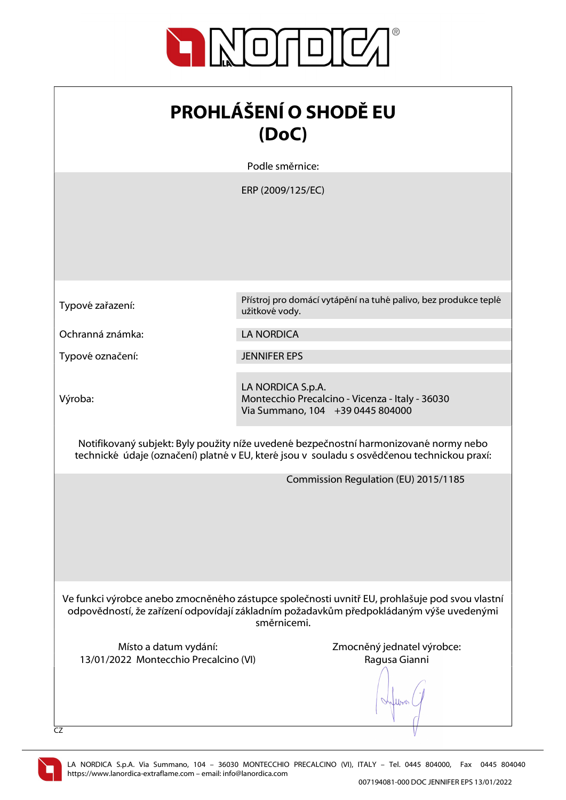

| <b>PROHLÁŠENÍ O SHODĚ EU</b><br>(DoC)                                                                                                                                                                    |                                                                                                          |
|----------------------------------------------------------------------------------------------------------------------------------------------------------------------------------------------------------|----------------------------------------------------------------------------------------------------------|
|                                                                                                                                                                                                          | Podle směrnice:                                                                                          |
|                                                                                                                                                                                                          | ERP (2009/125/EC)                                                                                        |
| Typové zařazení:                                                                                                                                                                                         | Přístroj pro domácí vytápění na tuhé palivo, bez produkce teplé<br>užitkové vody.                        |
| Ochranná známka:                                                                                                                                                                                         | <b>LA NORDICA</b>                                                                                        |
| Typové označení:                                                                                                                                                                                         | <b>JENNIFER EPS</b>                                                                                      |
| Výroba:                                                                                                                                                                                                  | LA NORDICA S.p.A.<br>Montecchio Precalcino - Vicenza - Italy - 36030<br>Via Summano, 104 +39 0445 804000 |
| Notifikovaný subjekt: Byly použity níže uvedené bezpečnostní harmonizované normy nebo<br>technické údaje (označení) platné v EU, které jsou v souladu s osvědčenou technickou praxí:                     |                                                                                                          |
|                                                                                                                                                                                                          | Commission Regulation (EU) 2015/1185                                                                     |
| Ve funkci výrobce anebo zmocněného zástupce společnosti uvnitř EU, prohlašuje pod svou vlastní<br>odpovědností, že zařízení odpovídají základním požadavkům předpokládaným výše uvedenými<br>směrnicemi. |                                                                                                          |
| Místo a datum vydání:<br>13/01/2022 Montecchio Precalcino (VI)                                                                                                                                           | Zmocněný jednatel výrobce:<br>Ragusa Gianni                                                              |
| CZ                                                                                                                                                                                                       |                                                                                                          |

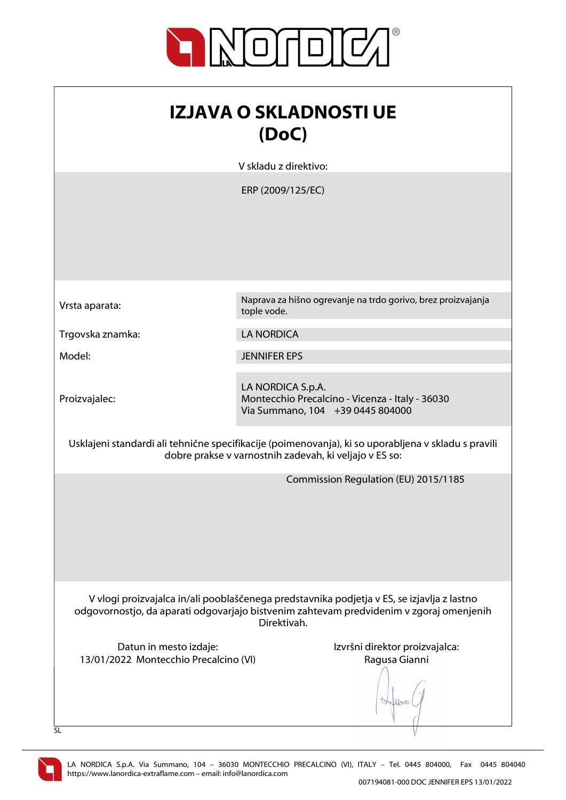

| <b>IZJAVA O SKLADNOSTI UE</b><br>(DoC)                                                                                                                                                               |                                                                                                          |  |
|------------------------------------------------------------------------------------------------------------------------------------------------------------------------------------------------------|----------------------------------------------------------------------------------------------------------|--|
|                                                                                                                                                                                                      | V skladu z direktivo:                                                                                    |  |
|                                                                                                                                                                                                      | ERP (2009/125/EC)                                                                                        |  |
| Vrsta aparata:                                                                                                                                                                                       | Naprava za hišno ogrevanje na trdo gorivo, brez proizvajanja<br>tople vode.                              |  |
| Trgovska znamka:                                                                                                                                                                                     | <b>LA NORDICA</b>                                                                                        |  |
| Model:                                                                                                                                                                                               | <b>JENNIFER EPS</b>                                                                                      |  |
| Proizvajalec:                                                                                                                                                                                        | LA NORDICA S.p.A.<br>Montecchio Precalcino - Vicenza - Italy - 36030<br>Via Summano, 104 +39 0445 804000 |  |
| Usklajeni standardi ali tehnične specifikacije (poimenovanja), ki so uporabljena v skladu s pravili<br>dobre prakse v varnostnih zadevah, ki veljajo v ES so:                                        |                                                                                                          |  |
|                                                                                                                                                                                                      | Commission Regulation (EU) 2015/1185                                                                     |  |
| V vlogi proizvajalca in/ali pooblaščenega predstavnika podjetja v ES, se izjavlja z lastno<br>odgovornostjo, da aparati odgovarjajo bistvenim zahtevam predvidenim v zgoraj omenjenih<br>Direktivah. |                                                                                                          |  |
| Datun in mesto izdaje:<br>13/01/2022 Montecchio Precalcino (VI)<br>SL                                                                                                                                | Izvršni direktor proizvajalca:<br>Ragusa Gianni                                                          |  |

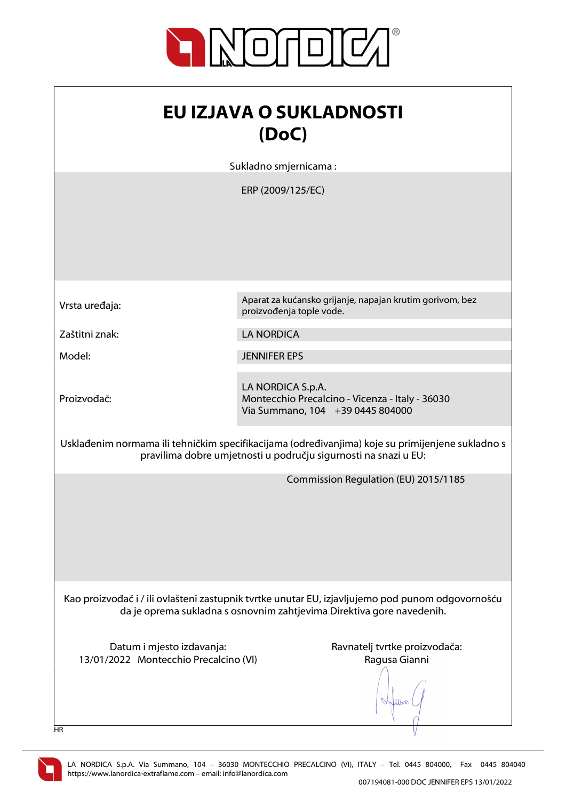

| EU IZJAVA O SUKLADNOSTI<br>(DoC)                                                                                                                                          |                                                                                                          |  |
|---------------------------------------------------------------------------------------------------------------------------------------------------------------------------|----------------------------------------------------------------------------------------------------------|--|
|                                                                                                                                                                           | Sukladno smjernicama:                                                                                    |  |
|                                                                                                                                                                           | ERP (2009/125/EC)                                                                                        |  |
| Vrsta uređaja:                                                                                                                                                            | Aparat za kućansko grijanje, napajan krutim gorivom, bez<br>proizvođenja tople vode.                     |  |
| Zaštitni znak:                                                                                                                                                            | <b>LA NORDICA</b>                                                                                        |  |
| Model:                                                                                                                                                                    | <b>JENNIFER EPS</b>                                                                                      |  |
| Proizvođač:                                                                                                                                                               | LA NORDICA S.p.A.<br>Montecchio Precalcino - Vicenza - Italy - 36030<br>Via Summano, 104 +39 0445 804000 |  |
| Usklađenim normama ili tehničkim specifikacijama (određivanjima) koje su primijenjene sukladno s<br>pravilima dobre umjetnosti u području sigurnosti na snazi u EU:       |                                                                                                          |  |
|                                                                                                                                                                           | Commission Regulation (EU) 2015/1185                                                                     |  |
| Kao proizvođač i / ili ovlašteni zastupnik tvrtke unutar EU, izjavljujemo pod punom odgovornošću<br>da je oprema sukladna s osnovnim zahtjevima Direktiva gore navedenih. |                                                                                                          |  |
| Datum i mjesto izdavanja:<br>13/01/2022 Montecchio Precalcino (VI)                                                                                                        | Ravnatelj tvrtke proizvođača:<br>Ragusa Gianni                                                           |  |

HR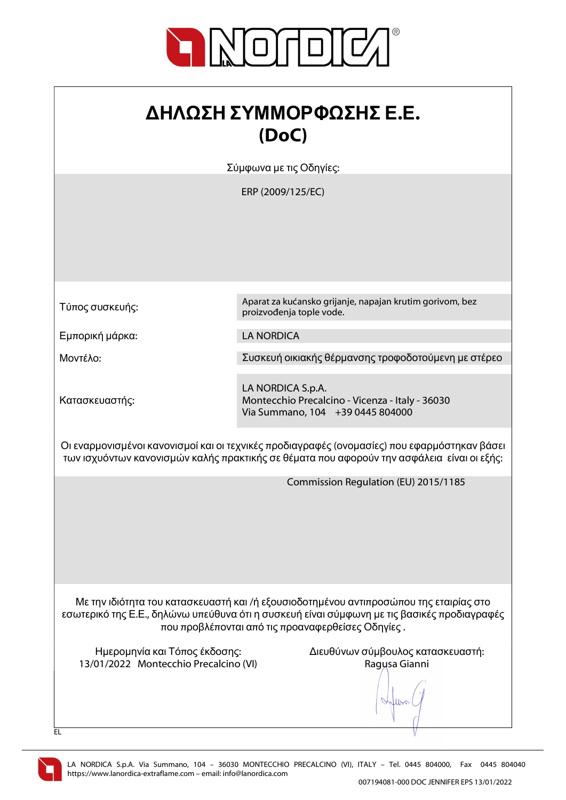

## ΔΗΛΩΣΗ ΣΥΜΜΟΡΦΩΣΗΣ Ε.Ε. (DoC)

Σύμφωνα με τις Οδηγίες:

ERP (2009/125/EC)

Τύπος συσκευής:

Εμπορική μάρκα: LA NORDICA

Κατασκευαστής:

Aparat za kućansko grijanje, napajan krutim gorivom, bez proizvođenja tople vode.

Μοντέλο: Συσκευή οικιακής θέρμανσης τροφοδοτούμενη με στέρεο

LA NORDICA S.p.A. Montecchio Precalcino - Vicenza - Italy - 36030 Via Summano, 104 +39 0445 804000

Οι εναρμονισμένοι κανονισμοί και οι τεχνικές προδιαγραφές (ονομασίες) που εφαρμόστηκαν βάσει των ισχυόντων κανονισμών καλής πρακτικής σε θέματα που αφορούν την ασφάλεια είναι οι εξής:

Commission Regulation (EU) 2015/1185

Με την ιδιότητα του κατασκευαστή και /ή εξουσιοδοτημένου αντιπροσώπου της εταιρίας στο εσωτερικό της Ε.Ε., δηλώνω υπεύθυνα ότι η συσκευή είναι σύμφωνη με τις βασικές προδιαγραφές που προβλέπονται από τις προαναφερθείσες Οδηγίες .

13/01/2022 Montecchio Precalcino (VI) Ragusa Gianni

Ημερομηνία και Τόπος έκδοσης: Διευθύνων σύμβουλος κατασκευαστή:

lloo



EL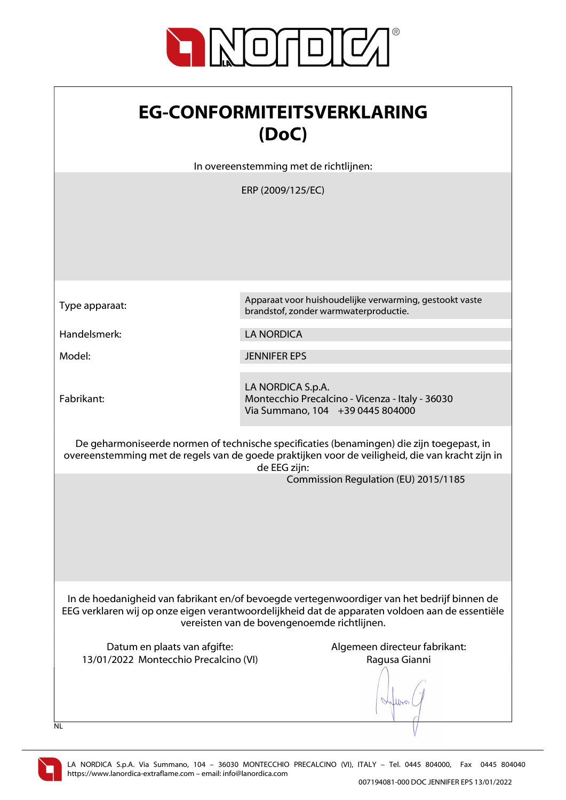

| <b>EG-CONFORMITEITSVERKLARING</b> |
|-----------------------------------|
| (DoC)                             |

In overeenstemming met de richtlijnen:

ERP (2009/125/EC)

Fabrikant:

Type apparaat: Apparaat voor huishoudelijke verwarming, gestookt vaste brandstof, zonder warmwaterproductie.

Handelsmerk: LA NORDICA

Model: JENNIFER EPS

LA NORDICA S.p.A. Montecchio Precalcino - Vicenza - Italy - 36030 Via Summano, 104 +39 0445 804000

De geharmoniseerde normen of technische specificaties (benamingen) die zijn toegepast, in overeenstemming met de regels van de goede praktijken voor de veiligheid, die van kracht zijn in de EEG zijn:

Commission Regulation (EU) 2015/1185

In de hoedanigheid van fabrikant en/of bevoegde vertegenwoordiger van het bedrijf binnen de EEG verklaren wij op onze eigen verantwoordelijkheid dat de apparaten voldoen aan de essentiële vereisten van de bovengenoemde richtlijnen.

Datum en plaats van afgifte: Algemeen directeur fabrikant: 13/01/2022 Montecchio Precalcino (VI) Ragusa Gianni

When

 $\overline{N}$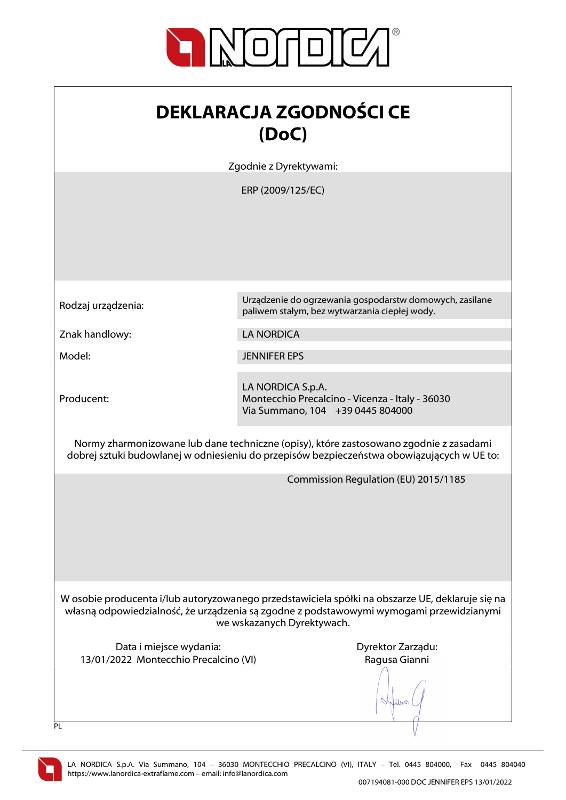

| <b>DEKLARACJA ZGODNOŚCI CE</b> |
|--------------------------------|
| (DoC)                          |

Zgodnie z Dyrektywami:

ERP (2009/125/EC)

Znak handlowy: LA NORDICA

Producent:

Rodzaj urządzenia: Urządzenie do ogrzewania gospodarstw domowych, zasilane paliwem stałym, bez wytwarzania ciepłej wody.

Model: JENNIFER EPS

LA NORDICA S.p.A. Montecchio Precalcino - Vicenza - Italy - 36030 Via Summano, 104 +39 0445 804000

Normy zharmonizowane lub dane techniczne (opisy), które zastosowano zgodnie z zasadami dobrej sztuki budowlanej w odniesieniu do przepisów bezpieczeństwa obowiązujących w UE to:

Commission Regulation (EU) 2015/1185

W osobie producenta i/lub autoryzowanego przedstawiciela spółki na obszarze UE, deklaruje się na własną odpowiedzialność, że urządzenia są zgodne z podstawowymi wymogami przewidzianymi we wskazanych Dyrektywach.

Data i miejsce wydania: Data i miejsce wydania: Dyrektor Zarządu: 13/01/2022 Montecchio Precalcino (VI) Ragusa Gianni

When

 $\overline{PI}$